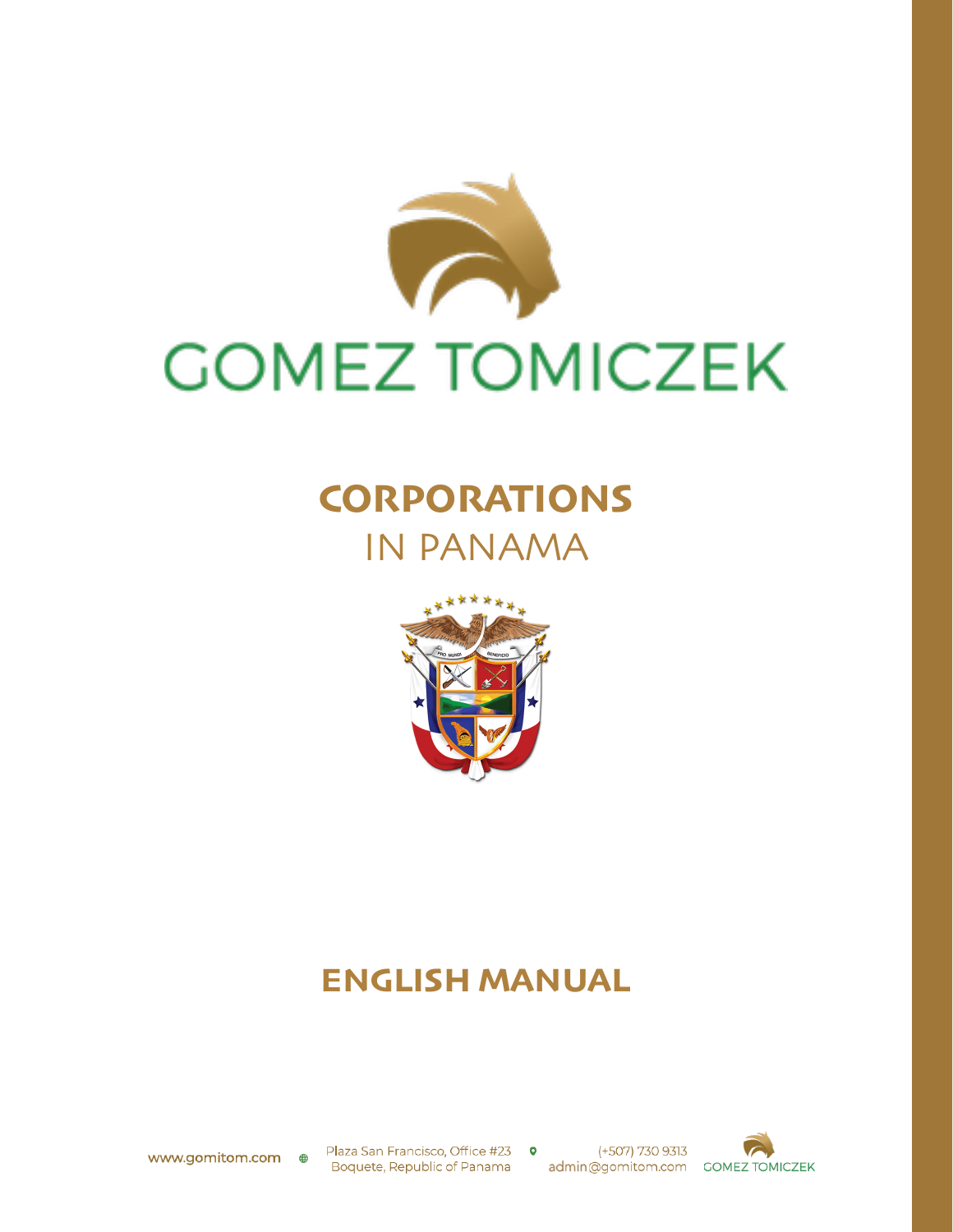

### **CORPORATIONS** IN PANAMA



### **ENGLISH MANUAL**

Plaza San Francisco, Office #23 0 Boquete, Republic of Panama admin@gomitom.com GOMEZ TOMICZEK

(+507) 730 9313

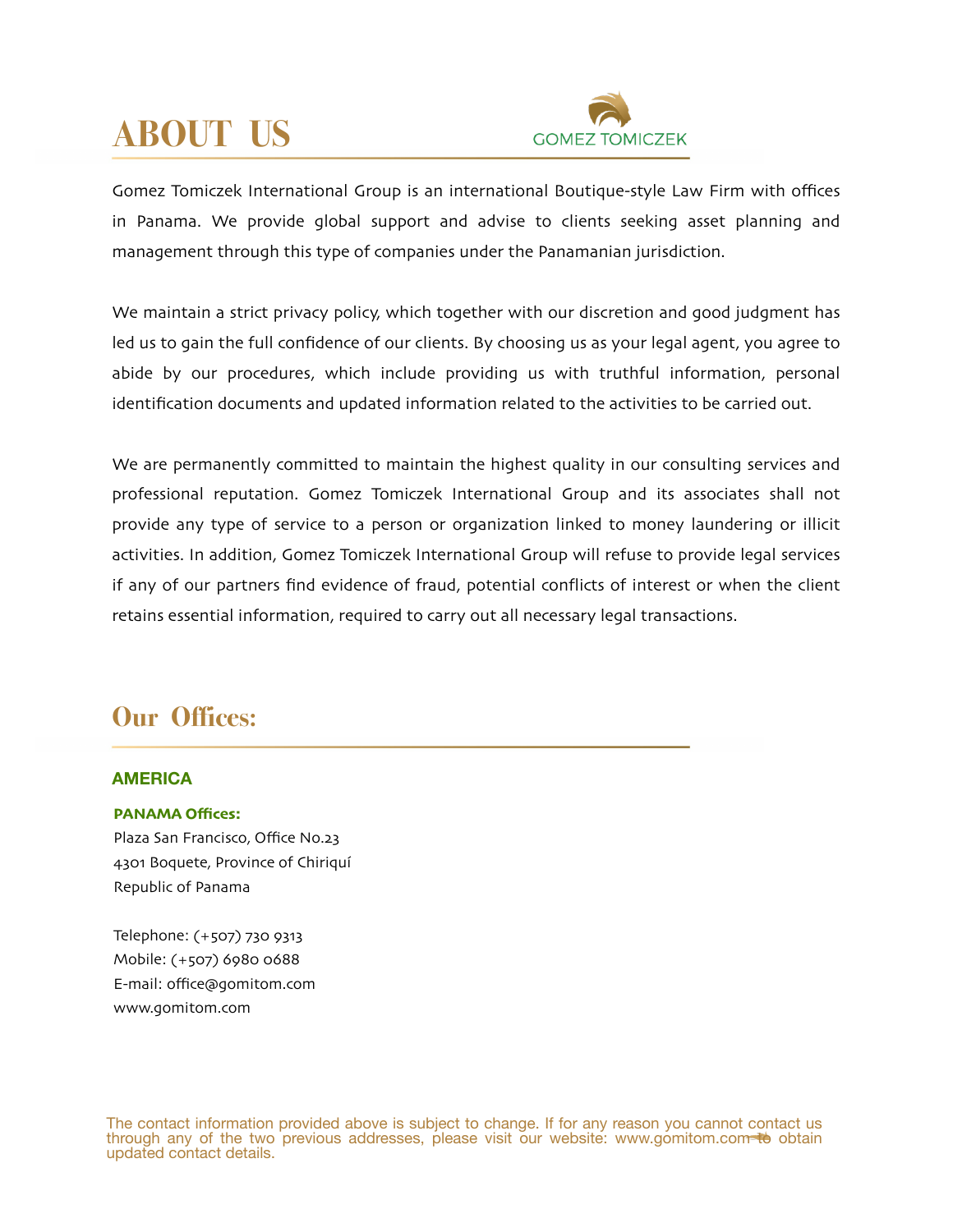# **ABOUT US**



Gomez Tomiczek International Group is an international Boutique-style Law Firm with offices in Panama. We provide global support and advise to clients seeking asset planning and management through this type of companies under the Panamanian jurisdiction.

We maintain a strict privacy policy, which together with our discretion and good judgment has led us to gain the full confidence of our clients. By choosing us as your legal agent, you agree to abide by our procedures, which include providing us with truthful information, personal identification documents and updated information related to the activities to be carried out.

We are permanently committed to maintain the highest quality in our consulting services and professional reputation. Gomez Tomiczek International Group and its associates shall not provide any type of service to a person or organization linked to money laundering or illicit activities. In addition, Gomez Tomiczek International Group will refuse to provide legal services if any of our partners find evidence of fraud, potential conflicts of interest or when the client retains essential information, required to carry out all necessary legal transactions.

### **Our Offices:**

#### **AMERICA**

#### **PANAMA Offices:**

Plaza San Francisco, Office No.23 4301 Boquete, Province of Chiriquí Republic of Panama

Telephone: (+507) 730 9313 Mobile: (+507) 6980 0688 E-mail: offi[ce@gomitom](mailto:office@gomitom.com).com www.[gomitom](http://www.gomitom.com).com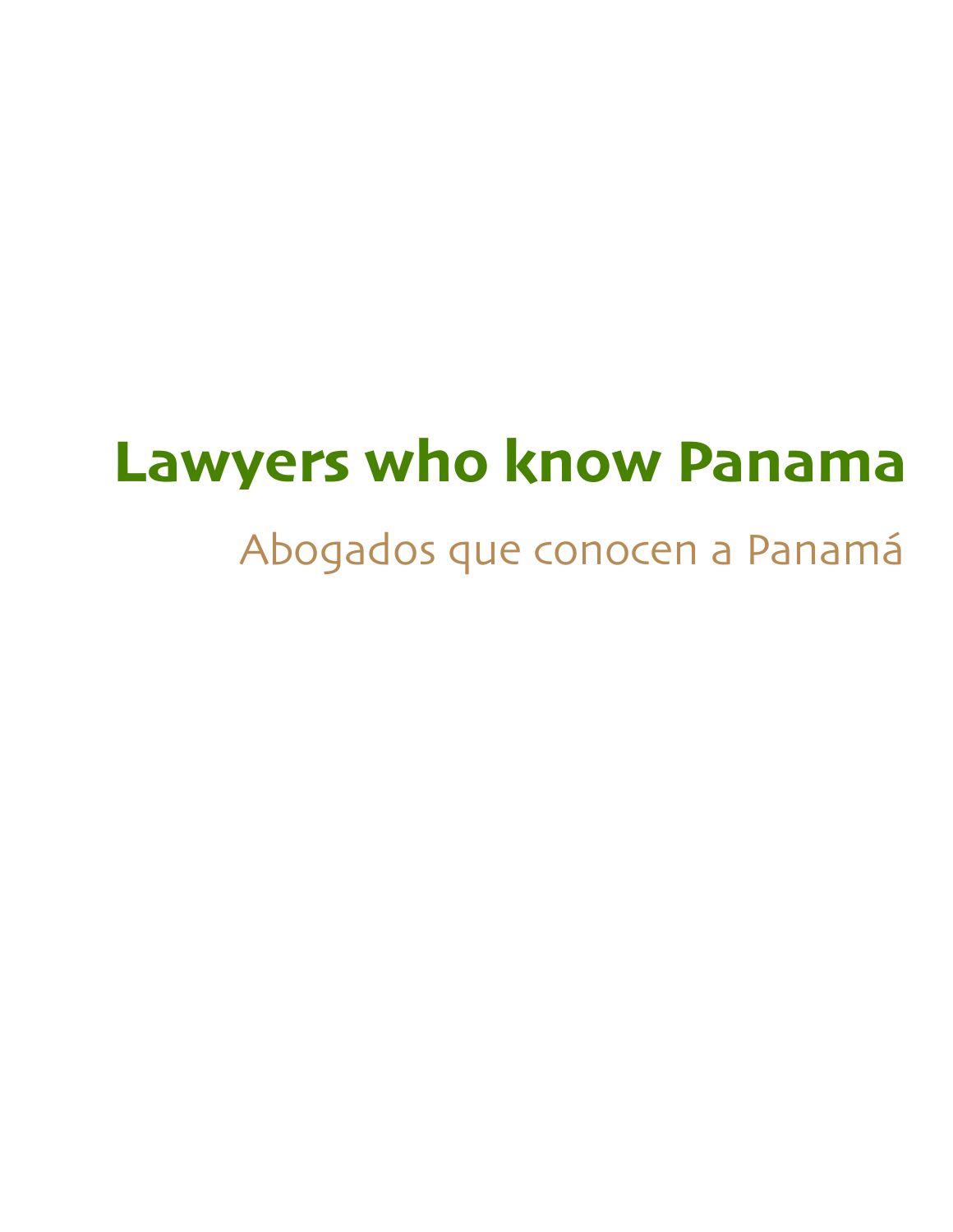# **Lawyers who know Panama**

# Abogados que conocen a Panamá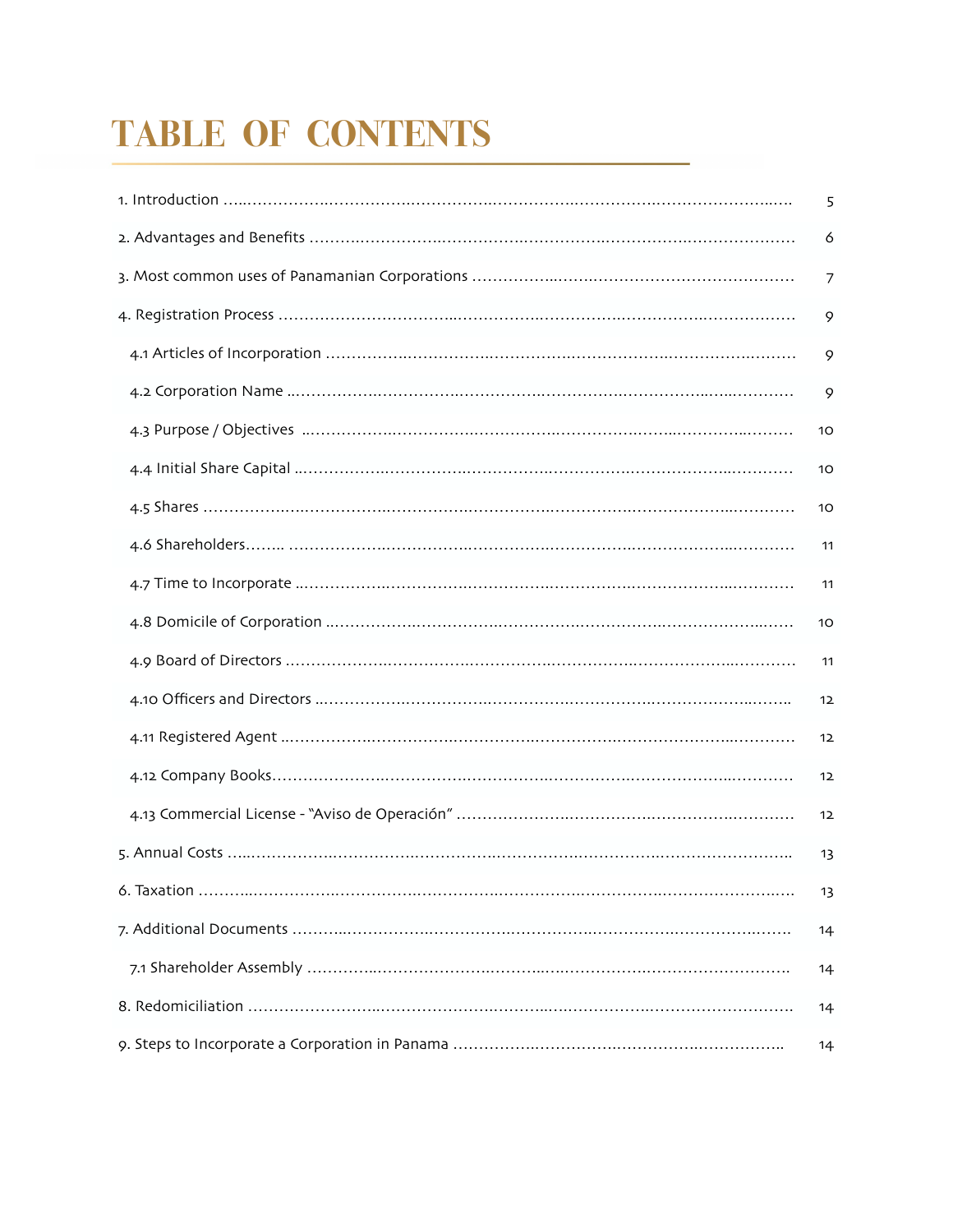# **TABLE OF CONTENTS**

| 5  |
|----|
| 6  |
| 7  |
| 9  |
| 9  |
| 9  |
| 10 |
| 10 |
| 10 |
| 11 |
| 11 |
| 10 |
| 11 |
| 12 |
| 12 |
| 12 |
| 12 |
| 13 |
| 13 |
| 14 |
| 14 |
| 14 |
| 14 |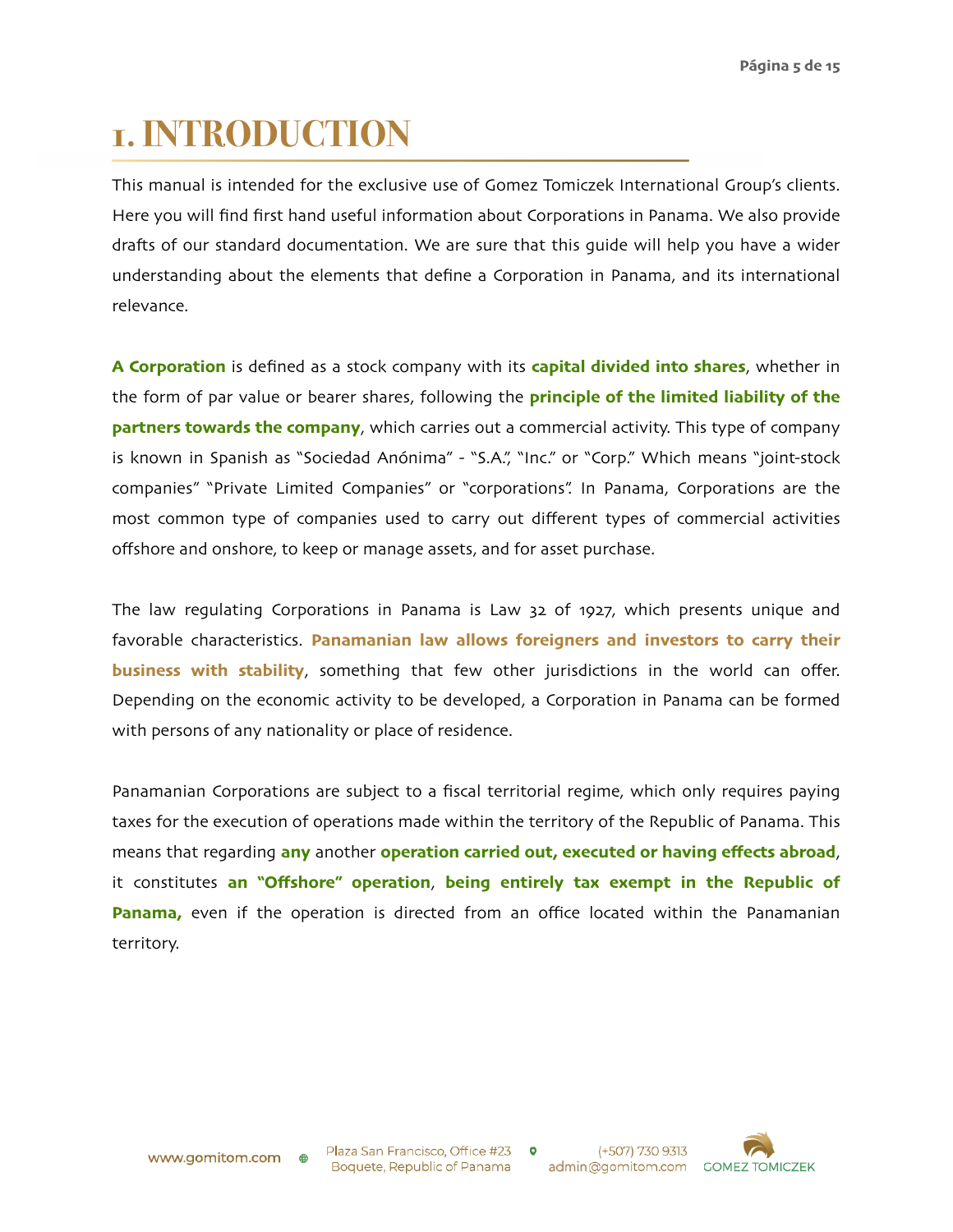### **1. INTRODUCTION**

This manual is intended for the exclusive use of Gomez Tomiczek International Group's clients. Here you will find first hand useful information about Corporations in Panama. We also provide drafts of our standard documentation. We are sure that this guide will help you have a wider understanding about the elements that define a Corporation in Panama, and its international relevance.

**A Corporation** is defined as a stock company with its **capital divided into shares**, whether in the form of par value or bearer shares, following the **principle of the limited liability of the partners towards the company**, which carries out a commercial activity. This type of company is known in Spanish as "Sociedad Anónima" - "S.A.", "Inc." or "Corp." Which means "joint-stock companies" "Private Limited Companies" or "corporations". In Panama, Corporations are the most common type of companies used to carry out different types of commercial activities offshore and onshore, to keep or manage assets, and for asset purchase.

The law regulating Corporations in Panama is Law 32 of 1927, which presents unique and favorable characteristics. **Panamanian law allows foreigners and investors to carry their business with stability**, something that few other jurisdictions in the world can offer. Depending on the economic activity to be developed, a Corporation in Panama can be formed with persons of any nationality or place of residence.

Panamanian Corporations are subject to a fiscal territorial regime, which only requires paying taxes for the execution of operations made within the territory of the Republic of Panama. This means that regarding **any** another **operation carried out, executed or having effects abroad**, it constitutes **an "Offshore" operation**, **being entirely tax exempt in the Republic of Panama,** even if the operation is directed from an office located within the Panamanian territory.

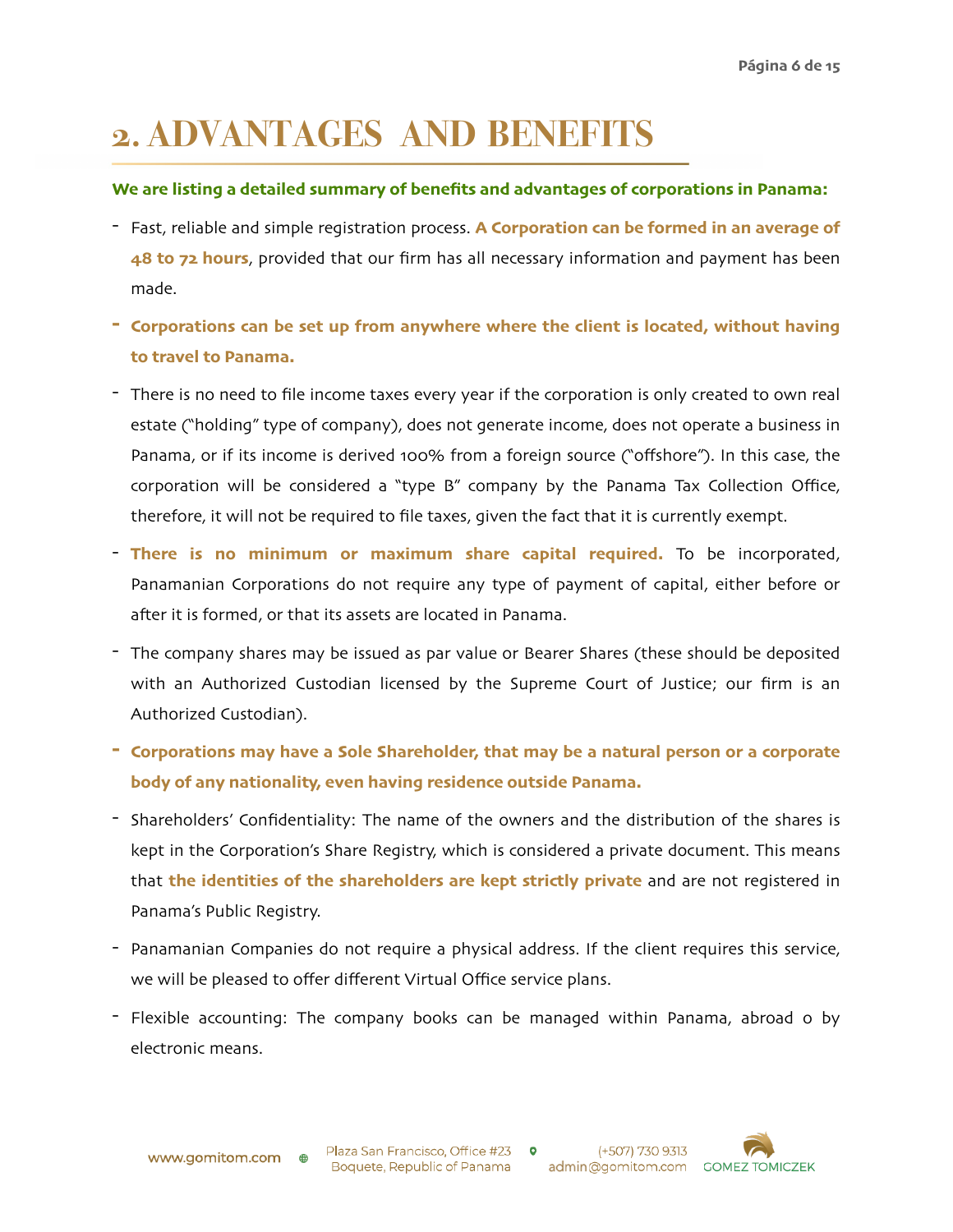### **2. ADVANTAGES AND BENEFITS**

#### **We are listing a detailed summary of benefits and advantages of corporations in Panama:**

- Fast, reliable and simple registration process. **A Corporation can be formed in an average of 48 to 72 hours**, provided that our firm has all necessary information and payment has been made.
- **- Corporations can be set up from anywhere where the client is located, without having to travel to Panama.**
- There is no need to file income taxes every year if the corporation is only created to own real estate ("holding" type of company), does not generate income, does not operate a business in Panama, or if its income is derived 100% from a foreign source ("offshore"). In this case, the corporation will be considered a "type B" company by the Panama Tax Collection Office, therefore, it will not be required to file taxes, given the fact that it is currently exempt.
- **There is no minimum or maximum share capital required.** To be incorporated, Panamanian Corporations do not require any type of payment of capital, either before or after it is formed, or that its assets are located in Panama.
- The company shares may be issued as par value or Bearer Shares (these should be deposited with an Authorized Custodian licensed by the Supreme Court of Justice; our firm is an Authorized Custodian).
- **- Corporations may have a Sole Shareholder, that may be a natural person or a corporate body of any nationality, even having residence outside Panama.**
- Shareholders' Confidentiality: The name of the owners and the distribution of the shares is kept in the Corporation's Share Registry, which is considered a private document. This means that **the identities of the shareholders are kept strictly private** and are not registered in Panama's Public Registry.
- Panamanian Companies do not require a physical address. If the client requires this service, we will be pleased to offer different Virtual Office service plans.
- Flexible accounting: The company books can be managed within Panama, abroad o by electronic means.

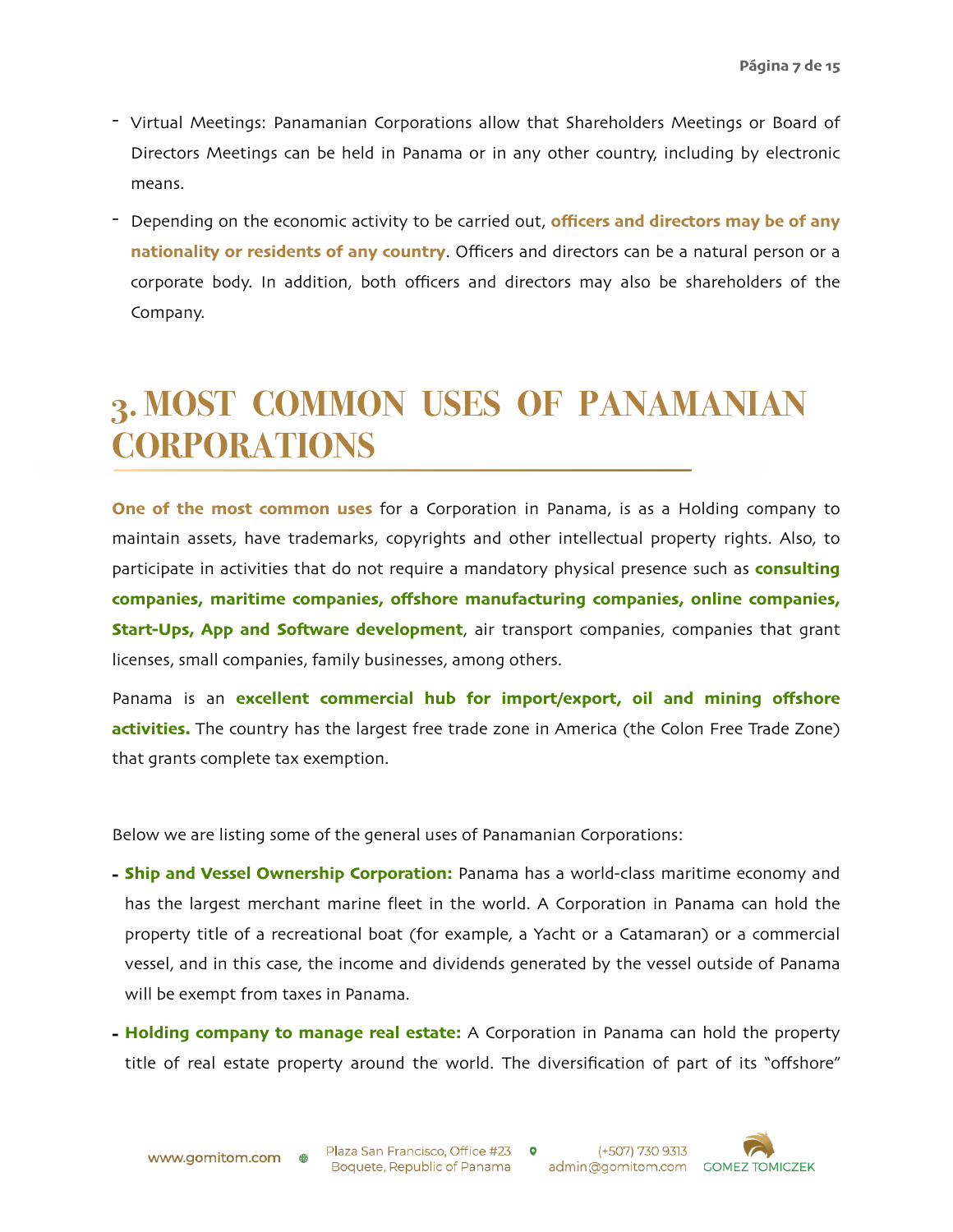- Virtual Meetings: Panamanian Corporations allow that Shareholders Meetings or Board of Directors Meetings can be held in Panama or in any other country, including by electronic means.
- Depending on the economic activity to be carried out, **officers and directors may be of any nationality or residents of any country**. Officers and directors can be a natural person or a corporate body. In addition, both officers and directors may also be shareholders of the Company.

### **3. MOST COMMON USES OF PANAMANIAN CORPORATIONS**

**One of the most common uses** for a Corporation in Panama, is as a Holding company to maintain assets, have trademarks, copyrights and other intellectual property rights. Also, to participate in activities that do not require a mandatory physical presence such as **consulting companies, maritime companies, offshore manufacturing companies, online companies, Start-Ups, App and Software development**, air transport companies, companies that grant licenses, small companies, family businesses, among others.

Panama is an **excellent commercial hub for import/export, oil and mining offshore activities.** The country has the largest free trade zone in America (the Colon Free Trade Zone) that grants complete tax exemption.

Below we are listing some of the general uses of Panamanian Corporations:

- **- Ship and Vessel Ownership Corporation:** Panama has a world-class maritime economy and has the largest merchant marine fleet in the world. A Corporation in Panama can hold the property title of a recreational boat (for example, a Yacht or a Catamaran) or a commercial vessel, and in this case, the income and dividends generated by the vessel outside of Panama will be exempt from taxes in Panama.
- **- Holding company to manage real estate:** A Corporation in Panama can hold the property title of real estate property around the world. The diversification of part of its "offshore"

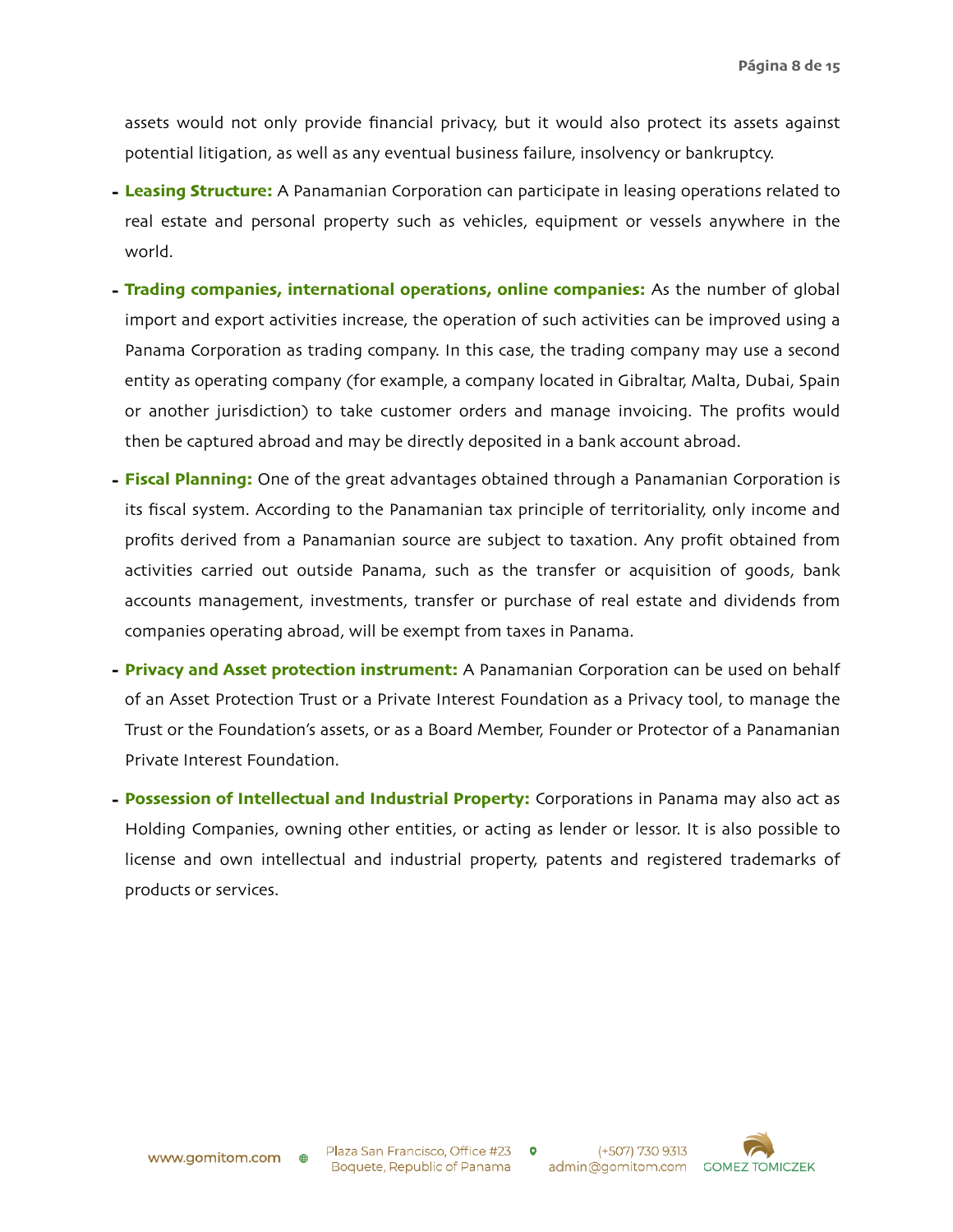assets would not only provide financial privacy, but it would also protect its assets against potential litigation, as well as any eventual business failure, insolvency or bankruptcy.

- **- Leasing Structure:** A Panamanian Corporation can participate in leasing operations related to real estate and personal property such as vehicles, equipment or vessels anywhere in the world.
- **- Trading companies, international operations, online companies:** As the number of global import and export activities increase, the operation of such activities can be improved using a Panama Corporation as trading company. In this case, the trading company may use a second entity as operating company (for example, a company located in Gibraltar, Malta, Dubai, Spain or another jurisdiction) to take customer orders and manage invoicing. The profits would then be captured abroad and may be directly deposited in a bank account abroad.
- **- Fiscal Planning:** One of the great advantages obtained through a Panamanian Corporation is its fiscal system. According to the Panamanian tax principle of territoriality, only income and profits derived from a Panamanian source are subject to taxation. Any profit obtained from activities carried out outside Panama, such as the transfer or acquisition of goods, bank accounts management, investments, transfer or purchase of real estate and dividends from companies operating abroad, will be exempt from taxes in Panama.
- **- Privacy and Asset protection instrument:** A Panamanian Corporation can be used on behalf of an Asset Protection Trust or a Private Interest Foundation as a Privacy tool, to manage the Trust or the Foundation's assets, or as a Board Member, Founder or Protector of a Panamanian Private Interest Foundation.
- **- Possession of Intellectual and Industrial Property:** Corporations in Panama may also act as Holding Companies, owning other entities, or acting as lender or lessor. It is also possible to license and own intellectual and industrial property, patents and registered trademarks of products or services.

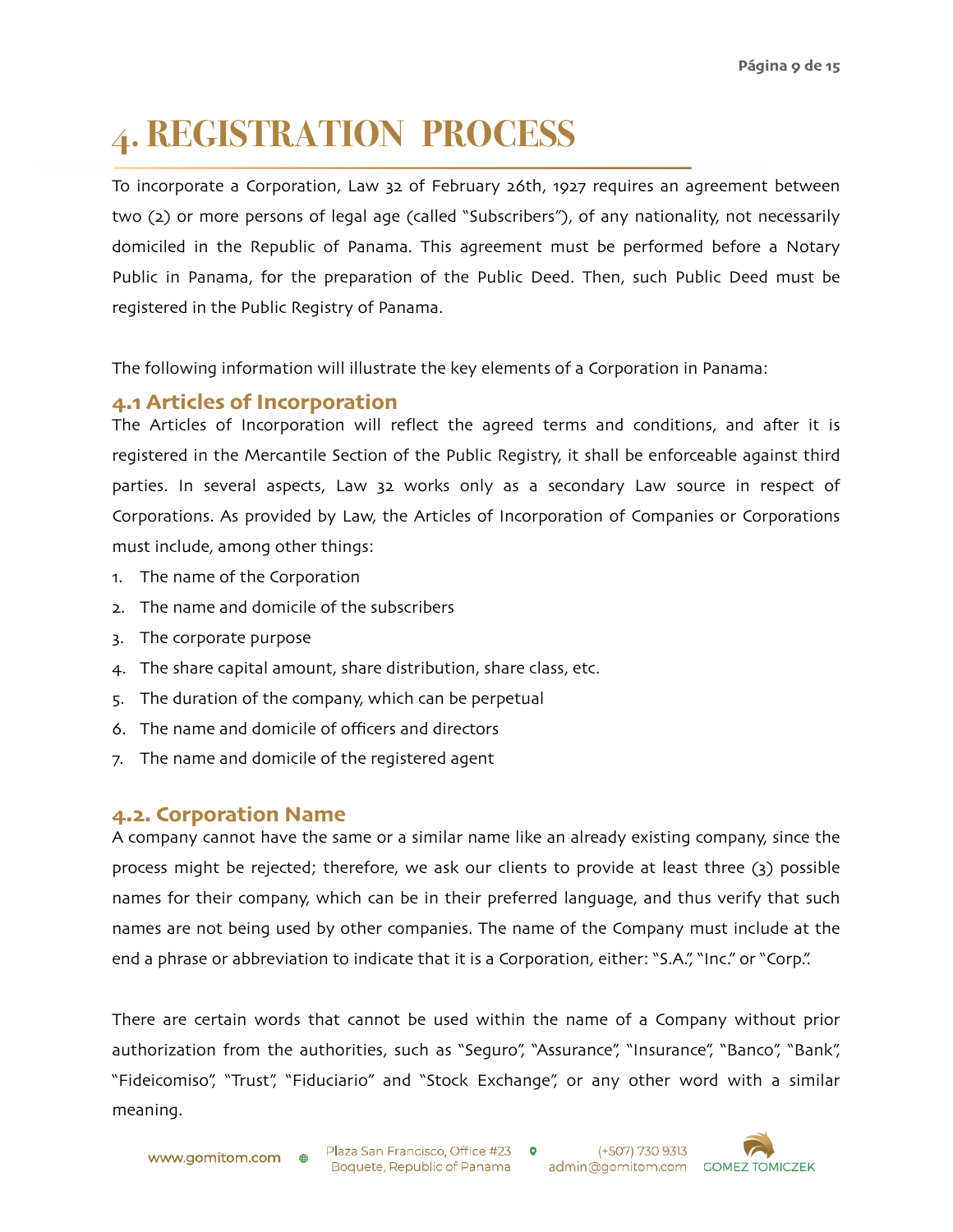## **4. REGISTRATION PROCESS**

To incorporate a Corporation, Law 32 of February 26th, 1927 requires an agreement between two (2) or more persons of legal age (called "Subscribers"), of any nationality, not necessarily domiciled in the Republic of Panama. This agreement must be performed before a Notary Public in Panama, for the preparation of the Public Deed. Then, such Public Deed must be registered in the Public Registry of Panama.

The following information will illustrate the key elements of a Corporation in Panama:

#### **4.1 Articles of Incorporation**

The Articles of Incorporation will reflect the agreed terms and conditions, and after it is registered in the Mercantile Section of the Public Registry, it shall be enforceable against third parties. In several aspects, Law 32 works only as a secondary Law source in respect of Corporations. As provided by Law, the Articles of Incorporation of Companies or Corporations must include, among other things:

- 1. The name of the Corporation
- 2. The name and domicile of the subscribers
- 3. The corporate purpose
- 4. The share capital amount, share distribution, share class, etc.
- 5. The duration of the company, which can be perpetual
- 6. The name and domicile of officers and directors
- 7. The name and domicile of the registered agent

#### **4.2. Corporation Name**

A company cannot have the same or a similar name like an already existing company, since the process might be rejected; therefore, we ask our clients to provide at least three (3) possible names for their company, which can be in their preferred language, and thus verify that such names are not being used by other companies. The name of the Company must include at the end a phrase or abbreviation to indicate that it is a Corporation, either: "S.A.", "Inc." or "Corp.".

There are certain words that cannot be used within the name of a Company without prior authorization from the authorities, such as "Seguro", "Assurance", "Insurance", "Banco", "Bank", "Fideicomiso", "Trust", "Fiduciario" and "Stock Exchange", or any other word with a similar meaning.

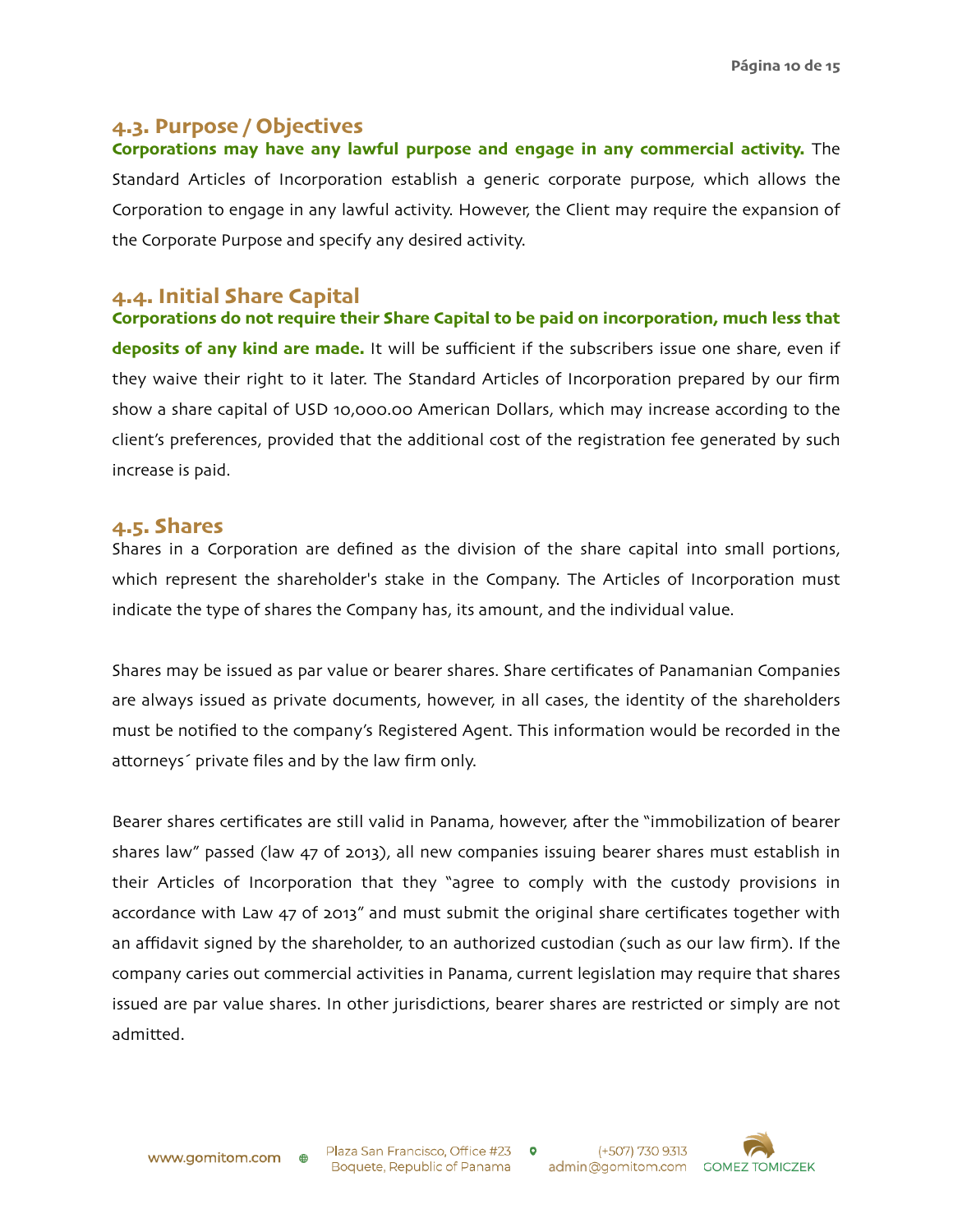#### **4.3. Purpose / Objectives**

**Corporations may have any lawful purpose and engage in any commercial activity.** The Standard Articles of Incorporation establish a generic corporate purpose, which allows the Corporation to engage in any lawful activity. However, the Client may require the expansion of the Corporate Purpose and specify any desired activity.

#### **4.4. Initial Share Capital**

**Corporations do not require their Share Capital to be paid on incorporation, much less that deposits of any kind are made.** It will be sufficient if the subscribers issue one share, even if they waive their right to it later. The Standard Articles of Incorporation prepared by our firm show a share capital of USD 10,000.00 American Dollars, which may increase according to the client's preferences, provided that the additional cost of the registration fee generated by such increase is paid.

#### **4.5. Shares**

Shares in a Corporation are defined as the division of the share capital into small portions, which represent the shareholder's stake in the Company. The Articles of Incorporation must indicate the type of shares the Company has, its amount, and the individual value.

Shares may be issued as par value or bearer shares. Share certificates of Panamanian Companies are always issued as private documents, however, in all cases, the identity of the shareholders must be notified to the company's Registered Agent. This information would be recorded in the attorneys´ private files and by the law firm only.

Bearer shares certificates are still valid in Panama, however, after the "immobilization of bearer shares law" passed (law 47 of 2013), all new companies issuing bearer shares must establish in their Articles of Incorporation that they "agree to comply with the custody provisions in accordance with Law 47 of 2013" and must submit the original share certificates together with an affidavit signed by the shareholder, to an authorized custodian (such as our law firm). If the company caries out commercial activities in Panama, current legislation may require that shares issued are par value shares. In other jurisdictions, bearer shares are restricted or simply are not admitted.

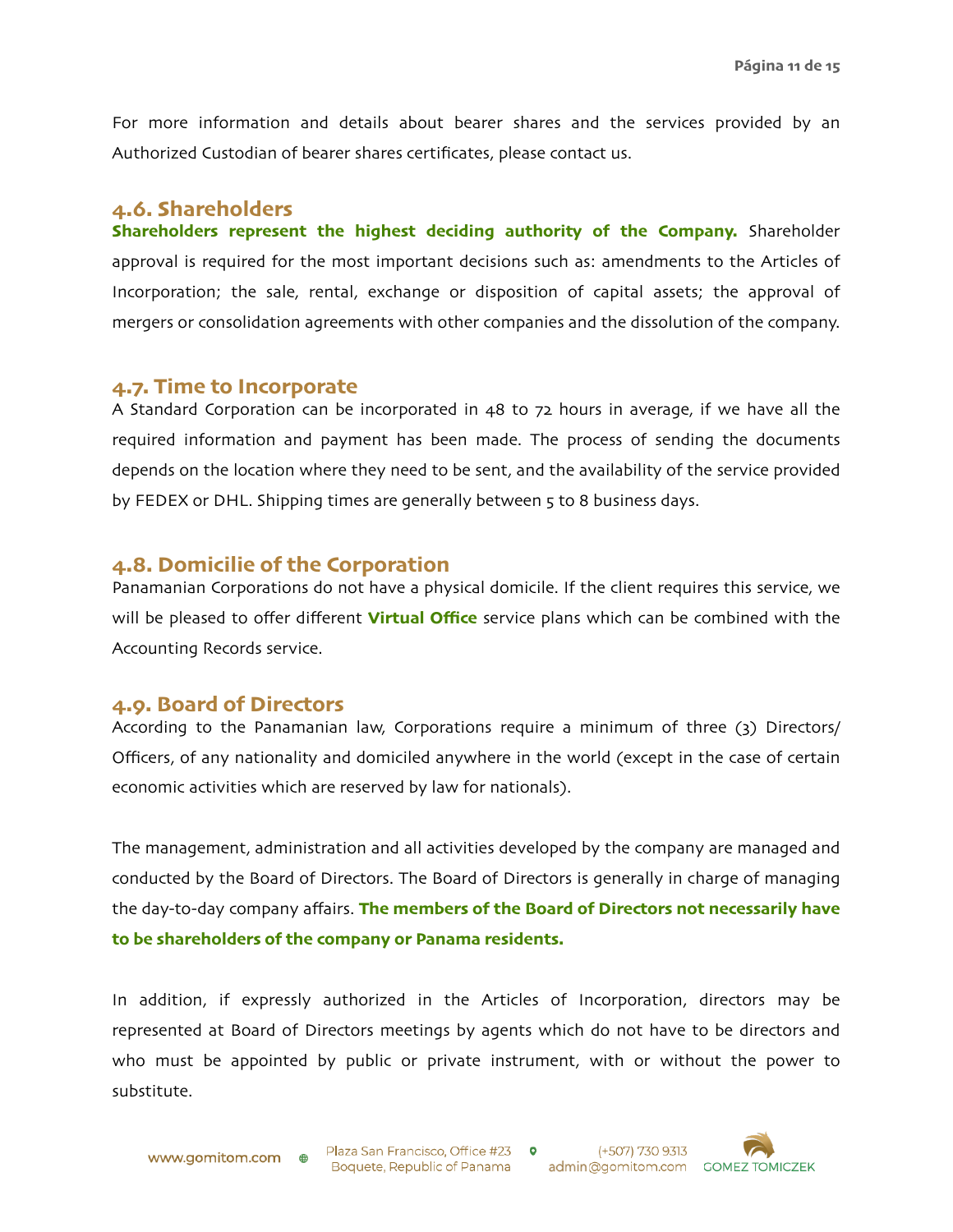For more information and details about bearer shares and the services provided by an Authorized Custodian of bearer shares certificates, please contact us.

#### **4.6. Shareholders**

**Shareholders represent the highest deciding authority of the Company.** Shareholder approval is required for the most important decisions such as: amendments to the Articles of Incorporation; the sale, rental, exchange or disposition of capital assets; the approval of mergers or consolidation agreements with other companies and the dissolution of the company.

#### **4.7. Time to Incorporate**

A Standard Corporation can be incorporated in 48 to 72 hours in average, if we have all the required information and payment has been made. The process of sending the documents depends on the location where they need to be sent, and the availability of the service provided by FEDEX or DHL. Shipping times are generally between 5 to 8 business days.

#### **4.8. Domicilie of the Corporation**

Panamanian Corporations do not have a physical domicile. If the client requires this service, we will be pleased to offer different **Virtual Office** service plans which can be combined with the Accounting Records service.

#### **4.9. Board of Directors**

According to the Panamanian law, Corporations require a minimum of three (3) Directors/ Officers, of any nationality and domiciled anywhere in the world (except in the case of certain economic activities which are reserved by law for nationals).

The management, administration and all activities developed by the company are managed and conducted by the Board of Directors. The Board of Directors is generally in charge of managing the day-to-day company affairs. **The members of the Board of Directors not necessarily have to be shareholders of the company or Panama residents.**

In addition, if expressly authorized in the Articles of Incorporation, directors may be represented at Board of Directors meetings by agents which do not have to be directors and who must be appointed by public or private instrument, with or without the power to substitute.

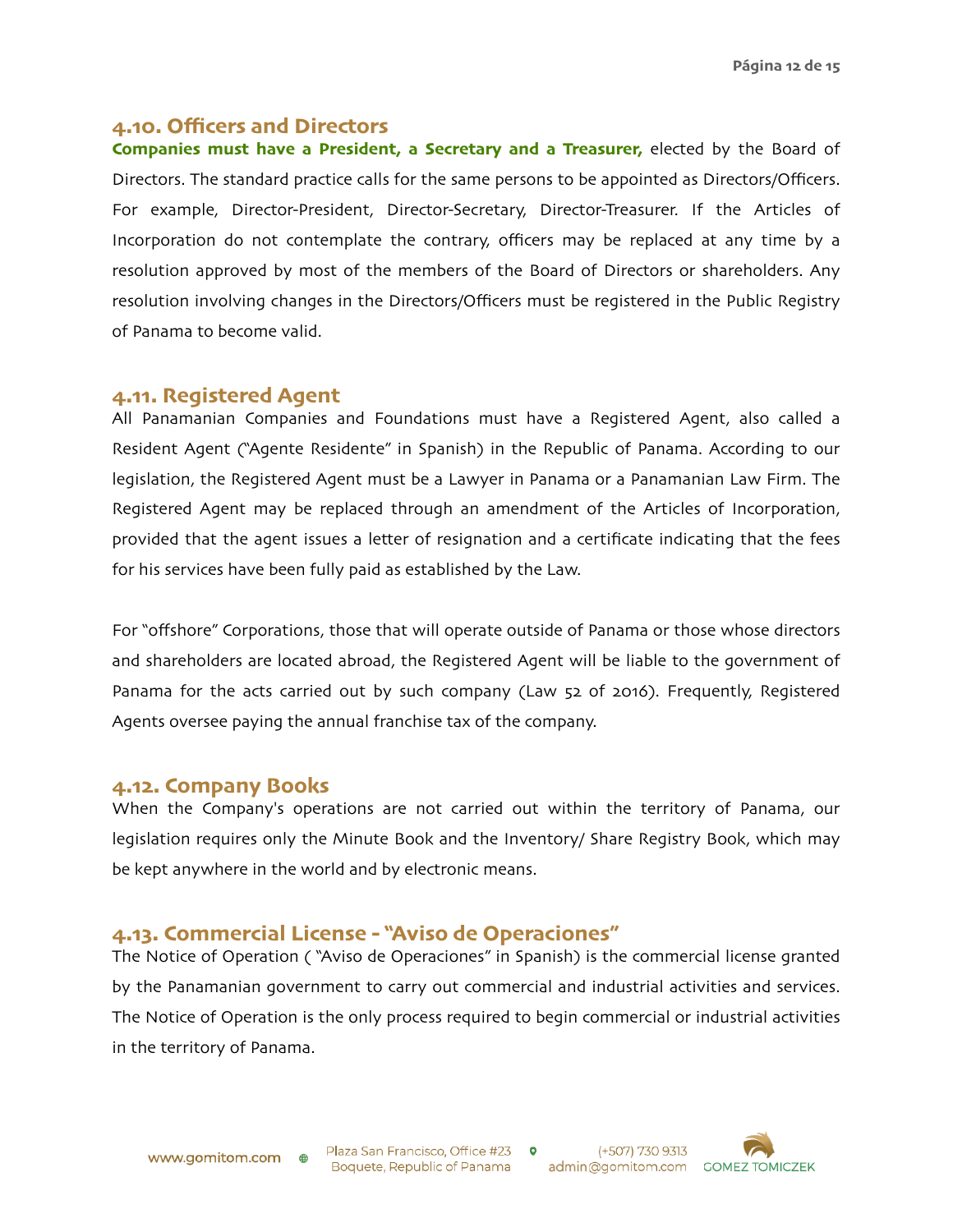#### **4.10. Officers and Directors**

**Companies must have a President, a Secretary and a Treasurer,** elected by the Board of Directors. The standard practice calls for the same persons to be appointed as Directors/Officers. For example, Director-President, Director-Secretary, Director-Treasurer. If the Articles of Incorporation do not contemplate the contrary, officers may be replaced at any time by a resolution approved by most of the members of the Board of Directors or shareholders. Any resolution involving changes in the Directors/Officers must be registered in the Public Registry of Panama to become valid.

#### **4.11. Registered Agent**

All Panamanian Companies and Foundations must have a Registered Agent, also called a Resident Agent ("Agente Residente" in Spanish) in the Republic of Panama. According to our legislation, the Registered Agent must be a Lawyer in Panama or a Panamanian Law Firm. The Registered Agent may be replaced through an amendment of the Articles of Incorporation, provided that the agent issues a letter of resignation and a certificate indicating that the fees for his services have been fully paid as established by the Law.

For "offshore" Corporations, those that will operate outside of Panama or those whose directors and shareholders are located abroad, the Registered Agent will be liable to the government of Panama for the acts carried out by such company (Law 52 of 2016). Frequently, Registered Agents oversee paying the annual franchise tax of the company.

#### **4.12. Company Books**

When the Company's operations are not carried out within the territory of Panama, our legislation requires only the Minute Book and the Inventory/ Share Registry Book, which may be kept anywhere in the world and by electronic means.

#### **4.13. Commercial License - "Aviso de Operaciones"**

The Notice of Operation ( "Aviso de Operaciones" in Spanish) is the commercial license granted by the Panamanian government to carry out commercial and industrial activities and services. The Notice of Operation is the only process required to begin commercial or industrial activities in the territory of Panama.



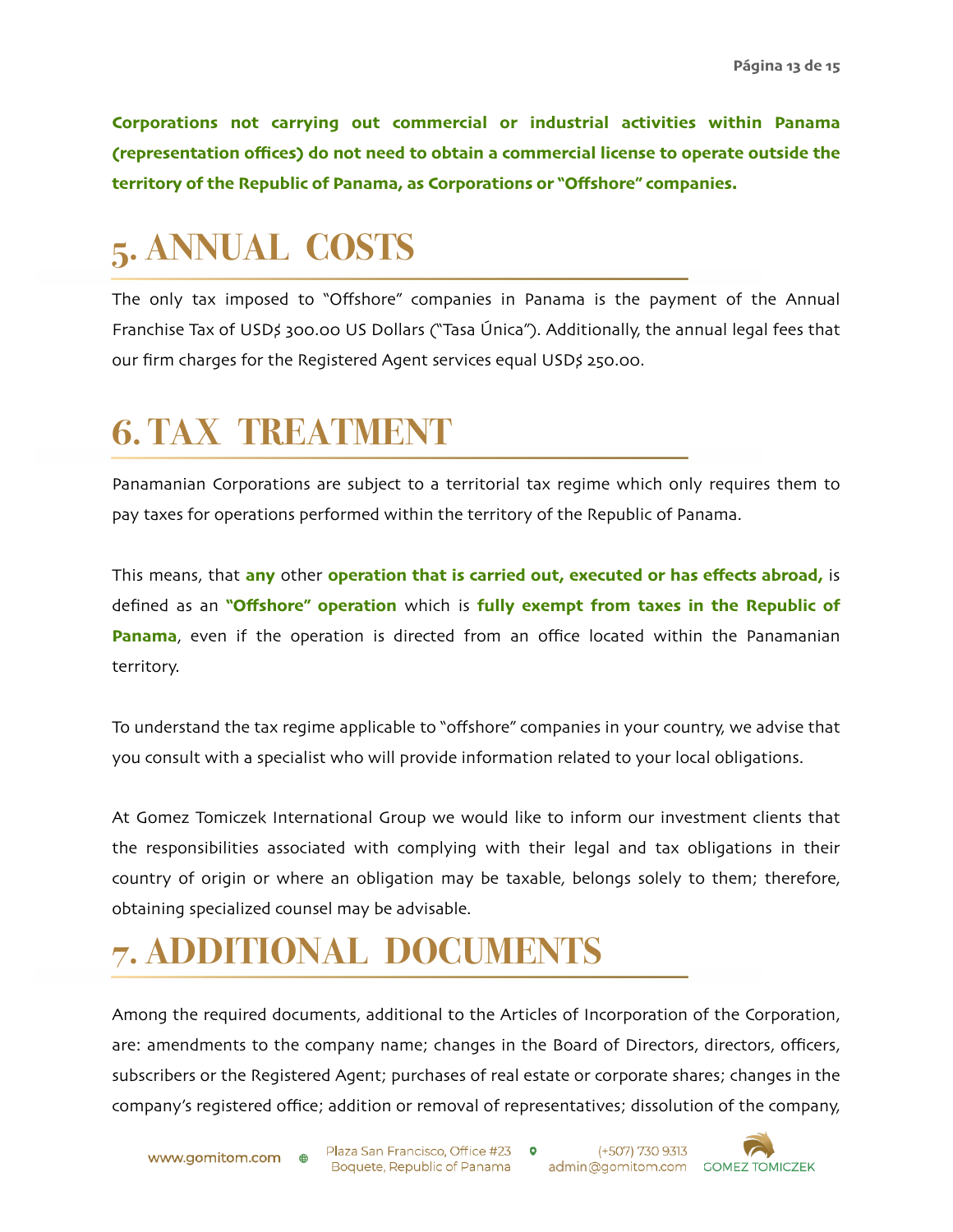**Corporations not carrying out commercial or industrial activities within Panama (representation offices) do not need to obtain a commercial license to operate outside the territory of the Republic of Panama, as Corporations or "Offshore" companies.**

## **5. ANNUAL COSTS**

The only tax imposed to "Offshore" companies in Panama is the payment of the Annual Franchise Tax of USD\$ 300.00 US Dollars ("Tasa Única"). Additionally, the annual legal fees that our firm charges for the Registered Agent services equal USD\$ 250.00.

### **6. TAX TREATMENT**

Panamanian Corporations are subject to a territorial tax regime which only requires them to pay taxes for operations performed within the territory of the Republic of Panama.

This means, that **any** other **operation that is carried out, executed or has effects abroad,** is defined as an **"Offshore" operation** which is **fully exempt from taxes in the Republic of Panama**, even if the operation is directed from an office located within the Panamanian territory.

To understand the tax regime applicable to "offshore" companies in your country, we advise that you consult with a specialist who will provide information related to your local obligations.

At Gomez Tomiczek International Group we would like to inform our investment clients that the responsibilities associated with complying with their legal and tax obligations in their country of origin or where an obligation may be taxable, belongs solely to them; therefore, obtaining specialized counsel may be advisable.

## **7. ADDITIONAL DOCUMENTS**

Among the required documents, additional to the Articles of Incorporation of the Corporation, are: amendments to the company name; changes in the Board of Directors, directors, officers, subscribers or the Registered Agent; purchases of real estate or corporate shares; changes in the company's registered office; addition or removal of representatives; dissolution of the company,



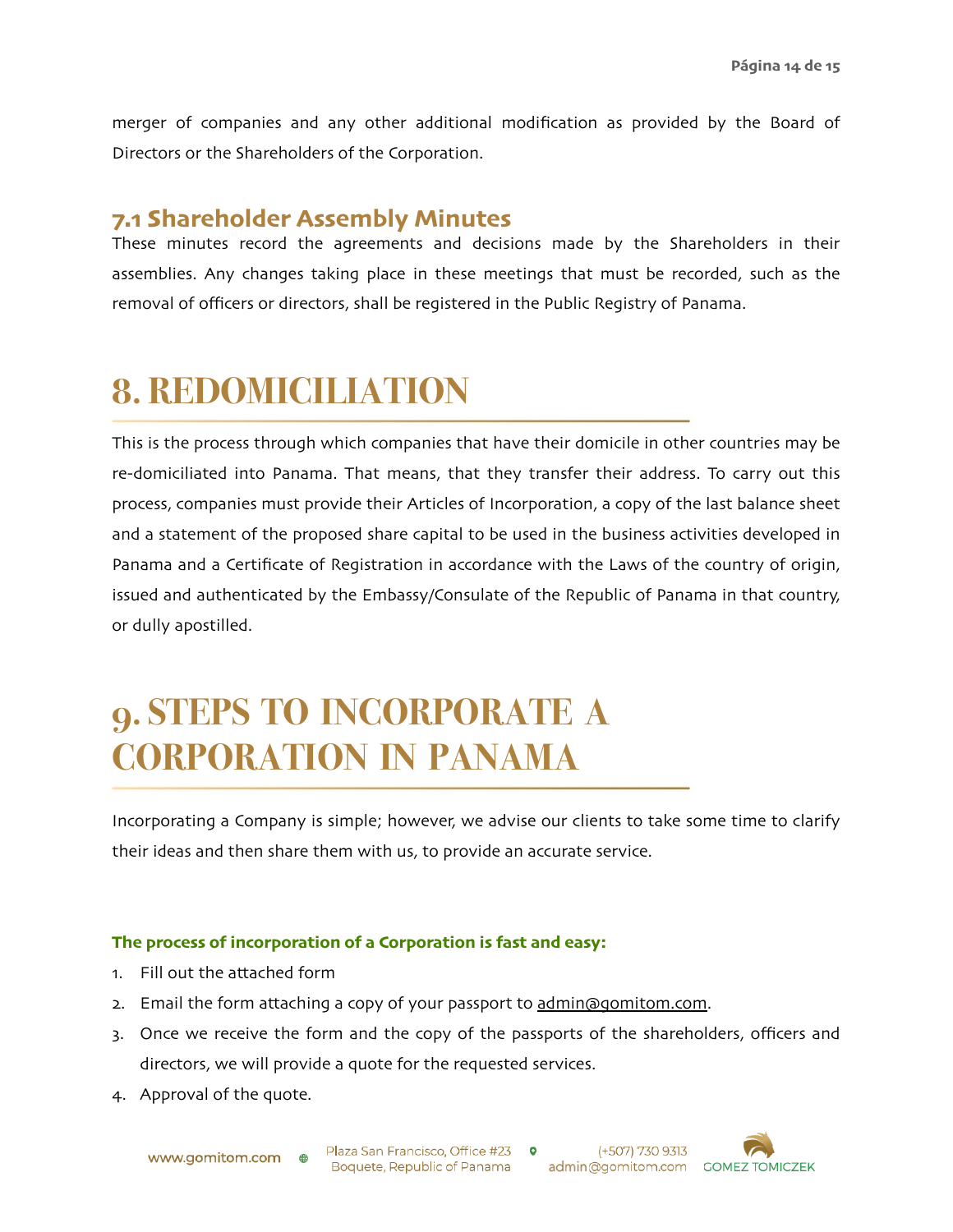merger of companies and any other additional modification as provided by the Board of Directors or the Shareholders of the Corporation.

### **7.1 Shareholder Assembly Minutes**

These minutes record the agreements and decisions made by the Shareholders in their assemblies. Any changes taking place in these meetings that must be recorded, such as the removal of officers or directors, shall be registered in the Public Registry of Panama.

### **8. REDOMICILIATION**

This is the process through which companies that have their domicile in other countries may be re-domiciliated into Panama. That means, that they transfer their address. To carry out this process, companies must provide their Articles of Incorporation, a copy of the last balance sheet and a statement of the proposed share capital to be used in the business activities developed in Panama and a Certificate of Registration in accordance with the Laws of the country of origin, issued and authenticated by the Embassy/Consulate of the Republic of Panama in that country, or dully apostilled.

### **9. STEPS TO INCORPORATE A CORPORATION IN PANAMA**

Incorporating a Company is simple; however, we advise our clients to take some time to clarify their ideas and then share them with us, to provide an accurate service.

#### **The process of incorporation of a Corporation is fast and easy:**

- 1. Fill out the attached form
- 2. Email the form attaching a copy of your passport to [admin@gomitom](mailto:admin@gomitom.com).com.
- 3. Once we receive the form and the copy of the passports of the shareholders, officers and directors, we will provide a quote for the requested services.
- 4. Approval of the quote.